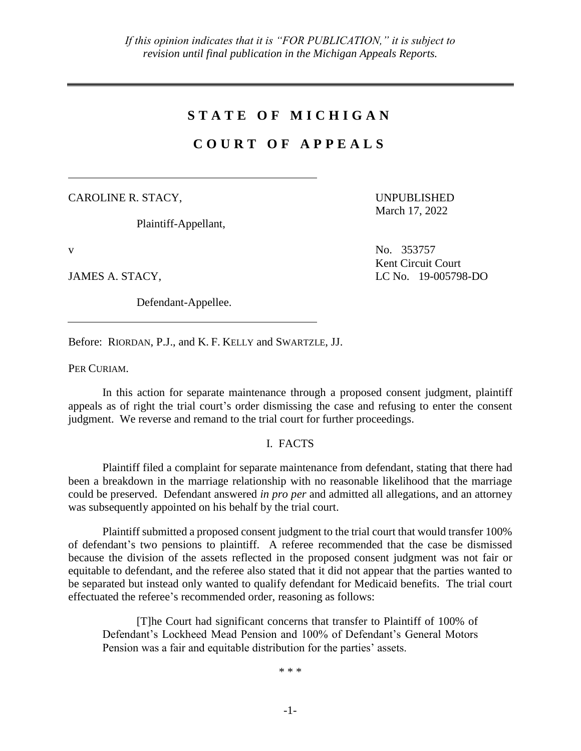## **S T A T E O F M I C H I G A N**

# **C O U R T O F A P P E A L S**

CAROLINE R. STACY,

Plaintiff-Appellant,

Defendant-Appellee.

UNPUBLISHED March 17, 2022

v No. 353757 Kent Circuit Court JAMES A. STACY, LC No. 19-005798-DO

Before: RIORDAN, P.J., and K. F. KELLY and SWARTZLE, JJ.

PER CURIAM.

In this action for separate maintenance through a proposed consent judgment, plaintiff appeals as of right the trial court's order dismissing the case and refusing to enter the consent judgment. We reverse and remand to the trial court for further proceedings.

### I. FACTS

Plaintiff filed a complaint for separate maintenance from defendant, stating that there had been a breakdown in the marriage relationship with no reasonable likelihood that the marriage could be preserved. Defendant answered *in pro per* and admitted all allegations, and an attorney was subsequently appointed on his behalf by the trial court.

Plaintiff submitted a proposed consent judgment to the trial court that would transfer 100% of defendant's two pensions to plaintiff. A referee recommended that the case be dismissed because the division of the assets reflected in the proposed consent judgment was not fair or equitable to defendant, and the referee also stated that it did not appear that the parties wanted to be separated but instead only wanted to qualify defendant for Medicaid benefits. The trial court effectuated the referee's recommended order, reasoning as follows:

[T]he Court had significant concerns that transfer to Plaintiff of 100% of Defendant's Lockheed Mead Pension and 100% of Defendant's General Motors Pension was a fair and equitable distribution for the parties' assets.

\* \* \*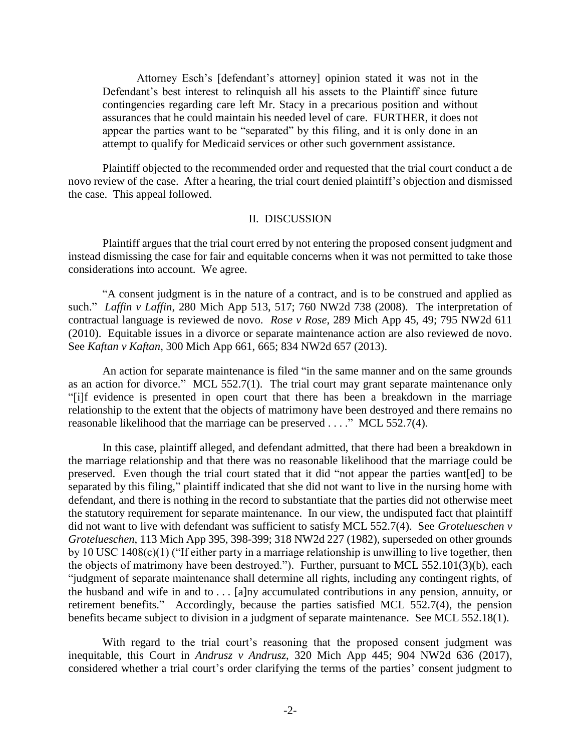Attorney Esch's [defendant's attorney] opinion stated it was not in the Defendant's best interest to relinquish all his assets to the Plaintiff since future contingencies regarding care left Mr. Stacy in a precarious position and without assurances that he could maintain his needed level of care. FURTHER, it does not appear the parties want to be "separated" by this filing, and it is only done in an attempt to qualify for Medicaid services or other such government assistance.

Plaintiff objected to the recommended order and requested that the trial court conduct a de novo review of the case. After a hearing, the trial court denied plaintiff's objection and dismissed the case. This appeal followed.

#### II. DISCUSSION

Plaintiff argues that the trial court erred by not entering the proposed consent judgment and instead dismissing the case for fair and equitable concerns when it was not permitted to take those considerations into account. We agree.

"A consent judgment is in the nature of a contract, and is to be construed and applied as such." *Laffin v Laffin*, 280 Mich App 513, 517; 760 NW2d 738 (2008). The interpretation of contractual language is reviewed de novo. *Rose v Rose*, 289 Mich App 45, 49; 795 NW2d 611 (2010). Equitable issues in a divorce or separate maintenance action are also reviewed de novo. See *Kaftan v Kaftan*, 300 Mich App 661, 665; 834 NW2d 657 (2013).

An action for separate maintenance is filed "in the same manner and on the same grounds as an action for divorce." MCL 552.7(1). The trial court may grant separate maintenance only "[i]f evidence is presented in open court that there has been a breakdown in the marriage relationship to the extent that the objects of matrimony have been destroyed and there remains no reasonable likelihood that the marriage can be preserved . . . ." MCL 552.7(4).

In this case, plaintiff alleged, and defendant admitted, that there had been a breakdown in the marriage relationship and that there was no reasonable likelihood that the marriage could be preserved. Even though the trial court stated that it did "not appear the parties want[ed] to be separated by this filing," plaintiff indicated that she did not want to live in the nursing home with defendant, and there is nothing in the record to substantiate that the parties did not otherwise meet the statutory requirement for separate maintenance. In our view, the undisputed fact that plaintiff did not want to live with defendant was sufficient to satisfy MCL 552.7(4). See *Grotelueschen v Grotelueschen*, 113 Mich App 395, 398-399; 318 NW2d 227 (1982), superseded on other grounds by 10 USC 1408(c)(1) ("If either party in a marriage relationship is unwilling to live together, then the objects of matrimony have been destroyed."). Further, pursuant to MCL 552.101(3)(b), each "judgment of separate maintenance shall determine all rights, including any contingent rights, of the husband and wife in and to  $\dots$  [a]ny accumulated contributions in any pension, annuity, or retirement benefits." Accordingly, because the parties satisfied MCL 552.7(4), the pension benefits became subject to division in a judgment of separate maintenance. See MCL 552.18(1).

With regard to the trial court's reasoning that the proposed consent judgment was inequitable, this Court in *Andrusz v Andrusz*, 320 Mich App 445; 904 NW2d 636 (2017), considered whether a trial court's order clarifying the terms of the parties' consent judgment to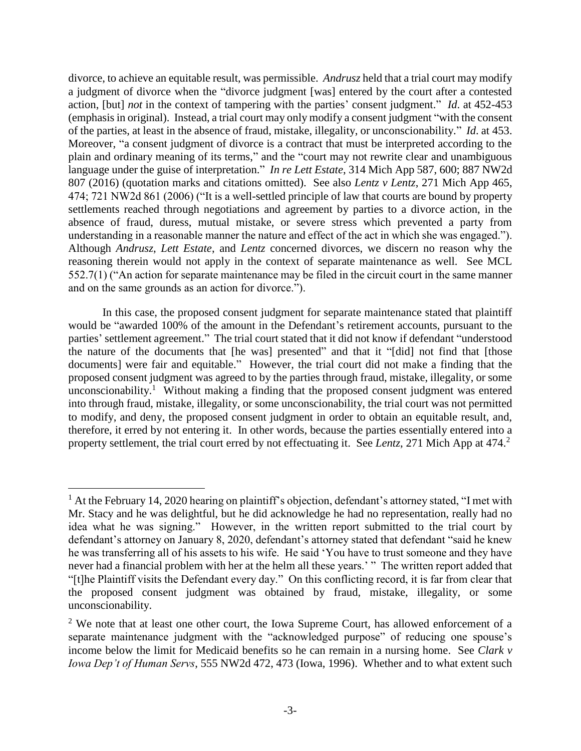divorce, to achieve an equitable result, was permissible. *Andrusz* held that a trial court may modify a judgment of divorce when the "divorce judgment [was] entered by the court after a contested action, [but] *not* in the context of tampering with the parties' consent judgment." *Id*. at 452-453 (emphasis in original). Instead, a trial court may only modify a consent judgment "with the consent of the parties, at least in the absence of fraud, mistake, illegality, or unconscionability." *Id*. at 453. Moreover, "a consent judgment of divorce is a contract that must be interpreted according to the plain and ordinary meaning of its terms," and the "court may not rewrite clear and unambiguous language under the guise of interpretation." *In re Lett Estate*, 314 Mich App 587, 600; 887 NW2d 807 (2016) (quotation marks and citations omitted). See also *Lentz v Lentz*, 271 Mich App 465, 474; 721 NW2d 861 (2006) ("It is a well-settled principle of law that courts are bound by property settlements reached through negotiations and agreement by parties to a divorce action, in the absence of fraud, duress, mutual mistake, or severe stress which prevented a party from understanding in a reasonable manner the nature and effect of the act in which she was engaged."). Although *Andrusz*, *Lett Estate*, and *Lentz* concerned divorces, we discern no reason why the reasoning therein would not apply in the context of separate maintenance as well. See MCL 552.7(1) ("An action for separate maintenance may be filed in the circuit court in the same manner and on the same grounds as an action for divorce.").

In this case, the proposed consent judgment for separate maintenance stated that plaintiff would be "awarded 100% of the amount in the Defendant's retirement accounts, pursuant to the parties' settlement agreement." The trial court stated that it did not know if defendant "understood the nature of the documents that [he was] presented" and that it "[did] not find that [those documents] were fair and equitable." However, the trial court did not make a finding that the proposed consent judgment was agreed to by the parties through fraud, mistake, illegality, or some unconscionability.<sup>1</sup> Without making a finding that the proposed consent judgment was entered into through fraud, mistake, illegality, or some unconscionability, the trial court was not permitted to modify, and deny, the proposed consent judgment in order to obtain an equitable result, and, therefore, it erred by not entering it. In other words, because the parties essentially entered into a property settlement, the trial court erred by not effectuating it. See *Lentz*, 271 Mich App at 474.<sup>2</sup>

 $\overline{a}$ 

 $<sup>1</sup>$  At the February 14, 2020 hearing on plaintiff's objection, defendant's attorney stated, "I met with</sup> Mr. Stacy and he was delightful, but he did acknowledge he had no representation, really had no idea what he was signing." However, in the written report submitted to the trial court by defendant's attorney on January 8, 2020, defendant's attorney stated that defendant "said he knew he was transferring all of his assets to his wife. He said 'You have to trust someone and they have never had a financial problem with her at the helm all these years.' " The written report added that "[t]he Plaintiff visits the Defendant every day." On this conflicting record, it is far from clear that the proposed consent judgment was obtained by fraud, mistake, illegality, or some unconscionability.

 $2$  We note that at least one other court, the Iowa Supreme Court, has allowed enforcement of a separate maintenance judgment with the "acknowledged purpose" of reducing one spouse's income below the limit for Medicaid benefits so he can remain in a nursing home. See *Clark v Iowa Dep't of Human Servs*, 555 NW2d 472, 473 (Iowa, 1996). Whether and to what extent such